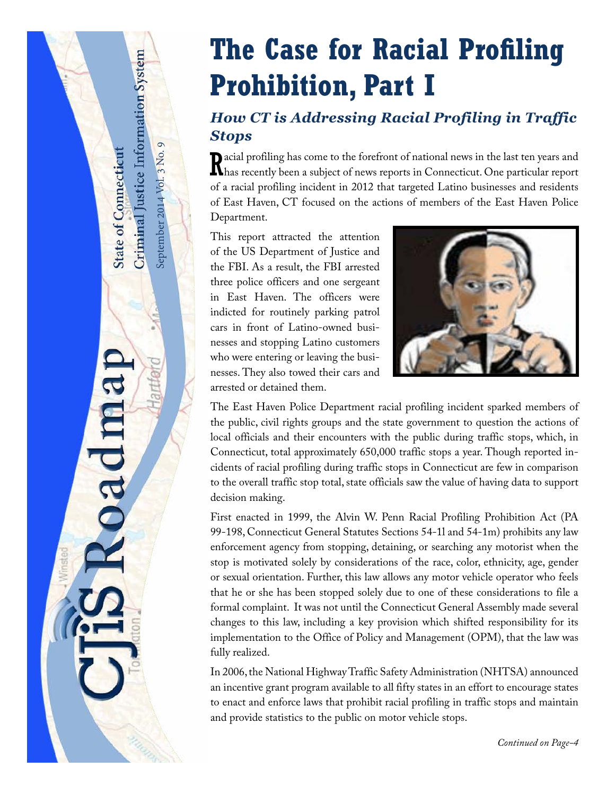# **The Case for Racial Profiling Prohibition, Part I**

## *How CT is Addressing Racial Profiling in Traffic Stops*

Recial profiling has come to the forefront of national news in the last ten years and thas recently been a subject of news reports in Connecticut. One particular report **D** acial profiling has come to the forefront of national news in the last ten years and of a racial profiling incident in 2012 that targeted Latino businesses and residents of East Haven, CT focused on the actions of members of the East Haven Police Department.

This report attracted the attention of the US Department of Justice and the FBI. As a result, the FBI arrested three police officers and one sergeant in East Haven. The officers were indicted for routinely parking patrol cars in front of Latino-owned businesses and stopping Latino customers who were entering or leaving the businesses. They also towed their cars and arrested or detained them.

September 2014 Vol. 3 No. 9

September 2014 Vol. 3 No. 9

<span id="page-0-0"></span>Criminal Justice Information System

**State of Connecticut** 

**Dadma** 



The East Haven Police Department racial profiling incident sparked members of the public, civil rights groups and the state government to question the actions of local officials and their encounters with the public during traffic stops, which, in Connecticut, total approximately 650,000 traffic stops a year. Though reported incidents of racial profiling during traffic stops in Connecticut are few in comparison to the overall traffic stop total, state officials saw the value of having data to support decision making.

First enacted in 1999, the Alvin W. Penn Racial Profiling Prohibition Act (PA 99-198, Connecticut General Statutes Sections 54-1l and 54-1m) prohibits any law enforcement agency from stopping, detaining, or searching any motorist when the stop is motivated solely by considerations of the race, color, ethnicity, age, gender or sexual orientation. Further, this law allows any motor vehicle operator who feels that he or she has been stopped solely due to one of these considerations to file a formal complaint. It was not until the Connecticut General Assembly made several changes to this law, including a key provision which shifted responsibility for its implementation to the Office of Policy and Management (OPM), that the law was fully realized.

In 2006, the National Highway Traffic Safety Administration (NHTSA) announced an incentive grant program available to all fifty states in an effort to encourage states to enact and enforce laws that prohibit racial profiling in traffic stops and maintain and provide statistics to the public on motor vehicle stops.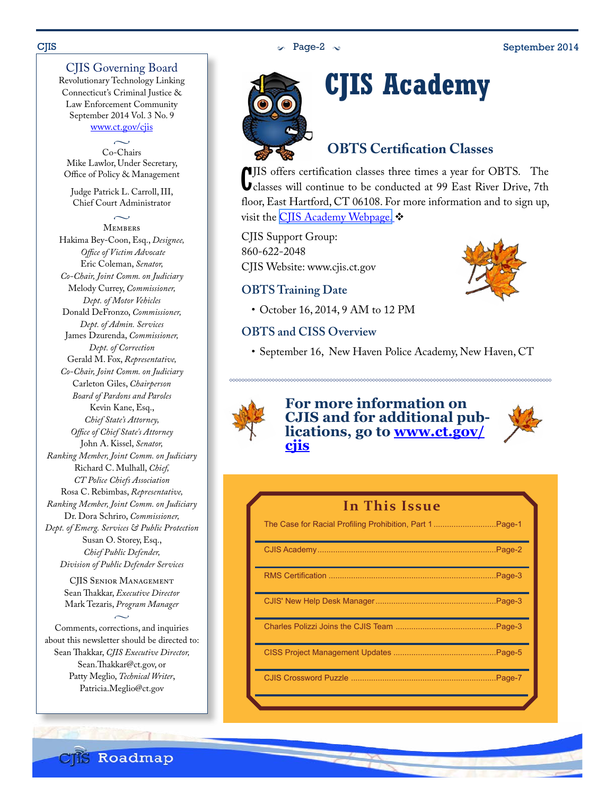### CJIS Governing Board

Revolutionary Technology Linking Connecticut's Criminal Justice & Law Enforcement Community September 2014 Vol. 3 No. 9 www.ct.gov/cjis

 $\sim$ Co-Chairs Mike Lawlor, Under Secretary, Office of Policy & Management

Judge Patrick L. Carroll, III, Chief Court Administrator

 $\sim$ **MEMBERS** Hakima Bey-Coon, Esq., *Designee,*

*Office of Victim Advocate* Eric Coleman, *Senator, Co-Chair, Joint Comm. on Judiciary* Melody Currey, *Commissioner, Dept. of Motor Vehicles* Donald DeFronzo, *Commissioner, Dept. of Admin. Services* James Dzurenda, *Commissioner, Dept. of Correction* Gerald M. Fox, *Representative, Co-Chair, Joint Comm. on Judiciary* Carleton Giles, *Chairperson Board of Pardons and Paroles* Kevin Kane, Esq., *Chief State's Attorney, Office of Chief State's Attorney* John A. Kissel, *Senator, Ranking Member, Joint Comm. on Judiciary* Richard C. Mulhall, *Chief, CT Police Chiefs Association* Rosa C. Rebimbas, *Representative, Ranking Member, Joint Comm. on Judiciary* Dr. Dora Schriro, *Commissioner, Dept. of Emerg. Services & Public Protection* Susan O. Storey, Esq., *Chief Public Defender, Division of Public Defender Services*

> CJIS Senior Management Sean Thakkar, *Executive Director* Mark Tezaris, *Program Manager*  $\sim$

Comments, corrections, and inquiries about this newsletter should be directed to: Sean Thakkar, *CJIS Executive Director,* Sean.Thakkar@ct.gov, or Patty Meglio, *Technical Writer*, Patricia.Meglio@ct.gov

**CIIS Roadmap** 





# **CJIS Academy**

### **OBTS Certification Classes**

C classes will continue to be conducted at 99 East River Drive, 7th JIS offers certification classes three times a year for OBTS. The floor, East Hartford, CT 06108. For more information and to sign up, visit the CIIS Academy Webpage.

CJIS Support Group: 860-622-2048 CJIS Website: www.cjis.ct.gov

### **OBTS Training Date**

• October 16, 2014, 9 AM to 12 PM

### **OBTS and CISS Overview**

• September 16, New Haven Police Academy, New Haven, CT



## **For more information on**  lications, go to **www.ct.gov/ [cjis](http://www.ct.gov/cjis/site/default.asp)**



| In This Issue |
|---------------|
|---------------|

| The Case for Racial Profiling Prohibition, Part 1Page-1 |         |
|---------------------------------------------------------|---------|
|                                                         |         |
|                                                         | Page-3. |
|                                                         |         |
|                                                         |         |
|                                                         |         |
|                                                         |         |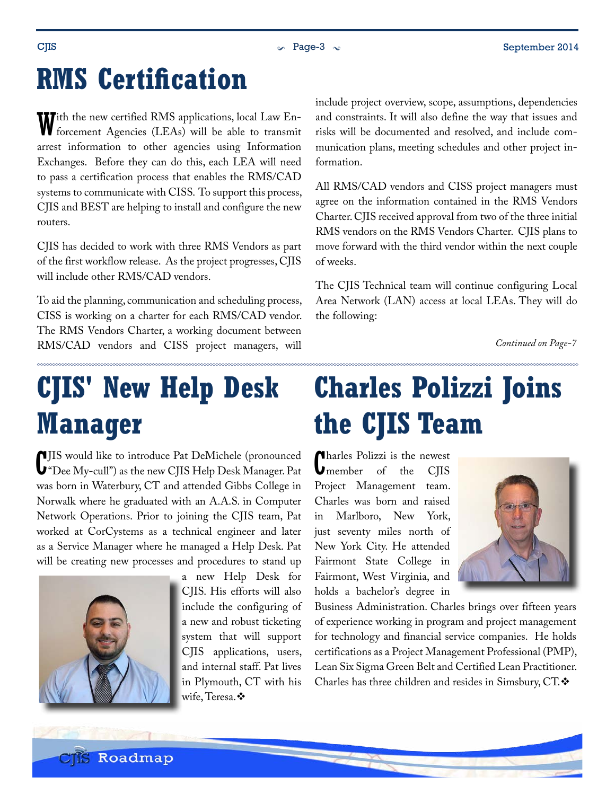# <span id="page-2-0"></span>**RMS Certification**

With the new certified RMS applications, local Law En-forcement Agencies (LEAs) will be able to transmit arrest information to other agencies using Information Exchanges. Before they can do this, each LEA will need to pass a certification process that enables the RMS/CAD systems to communicate with CISS. To support this process, CJIS and BEST are helping to install and configure the new routers.

CJIS has decided to work with three RMS Vendors as part of the first workflow release. As the project progresses, CJIS will include other RMS/CAD vendors.

To aid the planning, communication and scheduling process, CISS is working on a charter for each RMS/CAD vendor. The RMS Vendors Charter, a working document between RMS/CAD vendors and CISS project managers, will

**CJIS' New Help Desk Manager**

C "Dee My-cull") as the new CJIS Help Desk Manager. Pat **IIS** would like to introduce Pat DeMichele (pronounced was born in Waterbury, CT and attended Gibbs College in Norwalk where he graduated with an A.A.S. in Computer Network Operations. Prior to joining the CJIS team, Pat worked at CorCystems as a technical engineer and later as a Service Manager where he managed a Help Desk. Pat will be creating new processes and procedures to stand up



a new Help Desk for CJIS. His efforts will also include the configuring of a new and robust ticketing system that will support CJIS applications, users, and internal staff. Pat lives in Plymouth, CT with his wife, Teresa. ❖

include project overview, scope, assumptions, dependencies and constraints. It will also define the way that issues and risks will be documented and resolved, and include communication plans, meeting schedules and other project information.

All RMS/CAD vendors and CISS project managers must agree on the information contained in the RMS Vendors Charter. CJIS received approval from two of the three initial RMS vendors on the RMS Vendors Charter. CJIS plans to move forward with the third vendor within the next couple of weeks.

The CJIS Technical team will continue configuring Local Area Network (LAN) access at local LEAs. They will do the following:

*Continued on Page-7*

# **Charles Polizzi Joins the CJIS Team**

C harles Polizzi is the newest **U**member of the CIIS Project Management team. Charles was born and raised in Marlboro, New York, just seventy miles north of New York City. He attended Fairmont State College in Fairmont, West Virginia, and holds a bachelor's degree in



Business Administration. Charles brings over fifteen years of experience working in program and project management for technology and financial service companies. He holds certifications as a Project Management Professional (PMP), Lean Six Sigma Green Belt and Certified Lean Practitioner. Charles has three children and resides in Simsbury, CT.

**CIIS Roadmap**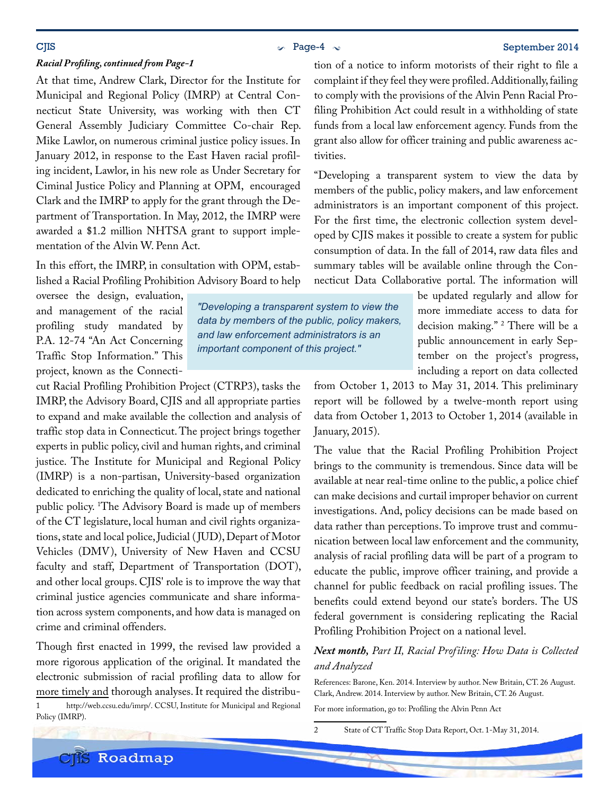### $\sim$  Page-4  $\sim$  Page-4  $\sim$  September 2014

#### *Racial Profiling, continued from Page-1*

At that time, Andrew Clark, Director for the Institute for Municipal and Regional Policy (IMRP) at Central Connecticut State University, was working with then CT General Assembly Judiciary Committee Co-chair Rep. Mike Lawlor, on numerous criminal justice policy issues. In January 2012, in response to the East Haven racial profiling incident, Lawlor, in his new role as Under Secretary for Ciminal Justice Policy and Planning at OPM, encouraged Clark and the IMRP to apply for the grant through the Department of Transportation. In May, 2012, the IMRP were awarded a \$1.2 million NHTSA grant to support implementation of the Alvin W. Penn Act.

In this effort, the IMRP, in consultation with OPM, established a Racial Profiling Prohibition Advisory Board to help

oversee the design, evaluation, and management of the racial profiling study mandated by P.A. 12-74 "An Act Concerning Traffic Stop Information." This project, known as the Connecti-

cut Racial Profiling Prohibition Project (CTRP3), tasks the IMRP, the Advisory Board, CJIS and all appropriate parties to expand and make available the collection and analysis of traffic stop data in Connecticut. The project brings together experts in public policy, civil and human rights, and criminal justice. The Institute for Municipal and Regional Policy (IMRP) is a non-partisan, University-based organization dedicated to enriching the quality of local, state and national public policy. 1 The Advisory Board is made up of members of the CT legislature, local human and civil rights organizations, state and local police, Judicial ( JUD), Depart of Motor Vehicles (DMV), University of New Haven and CCSU faculty and staff, Department of Transportation (DOT), and other local groups. CJIS' role is to improve the way that criminal justice agencies communicate and share information across system components, and how data is managed on crime and criminal offenders.

Though first enacted in 1999, the revised law provided a more rigorous application of the original. It mandated the electronic submission of racial profiling data to allow for more timely and thorough analyses. It required the distribu-

1 http://web.ccsu.edu/imrp/. CCSU, Institute for Municipal and Regional Policy (IMRP).

**CIS** Roadmap

tion of a notice to inform motorists of their right to file a complaint if they feel they were profiled. Additionally, failing to comply with the provisions of the Alvin Penn Racial Profiling Prohibition Act could result in a withholding of state funds from a local law enforcement agency. Funds from the grant also allow for officer training and public awareness activities.

"Developing a transparent system to view the data by members of the public, policy makers, and law enforcement administrators is an important component of this project. For the first time, the electronic collection system developed by CJIS makes it possible to create a system for public consumption of data. In the fall of 2014, raw data files and summary tables will be available online through the Connecticut Data Collaborative portal. The information will

> be updated regularly and allow for more immediate access to data for decision making." 2 There will be a public announcement in early September on the project's progress, including a report on data collected

from October 1, 2013 to May 31, 2014. This preliminary report will be followed by a twelve-month report using data from October 1, 2013 to October 1, 2014 (available in January, 2015).

The value that the Racial Profiling Prohibition Project brings to the community is tremendous. Since data will be available at near real-time online to the public, a police chief can make decisions and curtail improper behavior on current investigations. And, policy decisions can be made based on data rather than perceptions. To improve trust and communication between local law enforcement and the community, analysis of racial profiling data will be part of a program to educate the public, improve officer training, and provide a channel for public feedback on racial profiling issues. The benefits could extend beyond our state's borders. The US federal government is considering replicating the Racial Profiling Prohibition Project on a national level.

#### *Next month, Part II, Racial Profiling: How Data is Collected and Analyzed*

References: Barone, Ken. 2014. Interview by author. New Britain, CT. 26 August. Clark, Andrew. 2014. Interview by author. New Britain, CT. 26 August.

For more information, go to: [Profiling the Alvin Penn Act](http://www.ct.gov/opm/cwp/view.asp?a=2967&Q=494056&PM=1#Resources)

2 State of CT Traffic Stop Data Report, Oct. 1-May 31, 2014.

*"Developing a transparent system to view the data by members of the public, policy makers, and law enforcement administrators is an important component of this project."*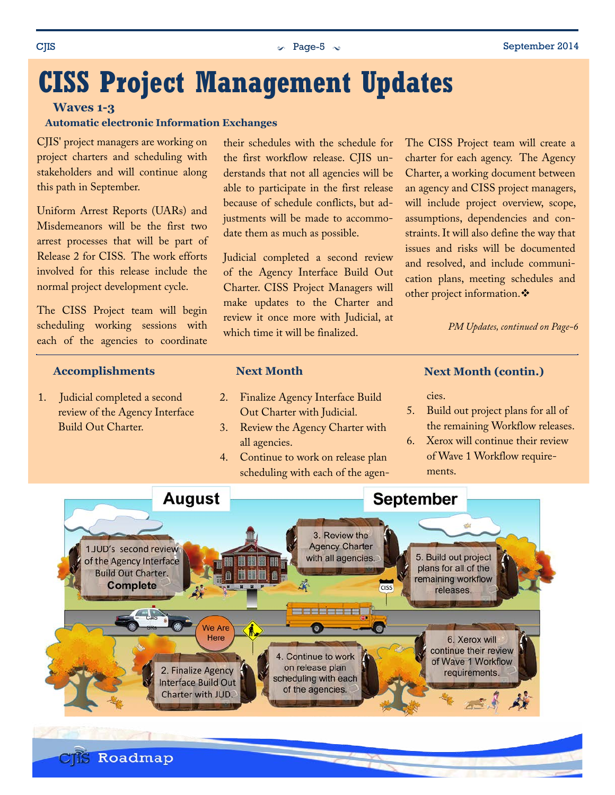## <span id="page-4-0"></span>**CISS Project Management Updates**

#### **Waves 1-3**

#### **Automatic electronic Information Exchanges**

CJIS' project managers are working on project charters and scheduling with stakeholders and will continue along this path in September.

Uniform Arrest Reports (UARs) and Misdemeanors will be the first two arrest processes that will be part of Release 2 for CISS. The work efforts involved for this release include the normal project development cycle.

The CISS Project team will begin scheduling working sessions with each of the agencies to coordinate

#### **Accomplishments**

1. Judicial completed a second review of the Agency Interface Build Out Charter.

**CIIS Roadmap** 

their schedules with the schedule for the first workflow release. CJIS understands that not all agencies will be able to participate in the first release because of schedule conflicts, but adjustments will be made to accommodate them as much as possible.

Judicial completed a second review of the Agency Interface Build Out Charter. CISS Project Managers will make updates to the Charter and review it once more with Judicial, at which time it will be finalized.

The CISS Project team will create a charter for each agency. The Agency Charter, a working document between an agency and CISS project managers, will include project overview, scope, assumptions, dependencies and constraints. It will also define the way that issues and risks will be documented and resolved, and include communication plans, meeting schedules and other project information.

*PM Updates, continued on Page-6*

#### **Next Month**

- 2. Finalize Agency Interface Build Out Charter with Judicial.
- 3. Review the Agency Charter with all agencies.
- 4. Continue to work on release plan scheduling with each of the agen-

#### **Next Month (contin.)**

cies.

- 5. Build out project plans for all of the remaining Workflow releases.
- 6. Xerox will continue their review of Wave 1 Workflow requirements.

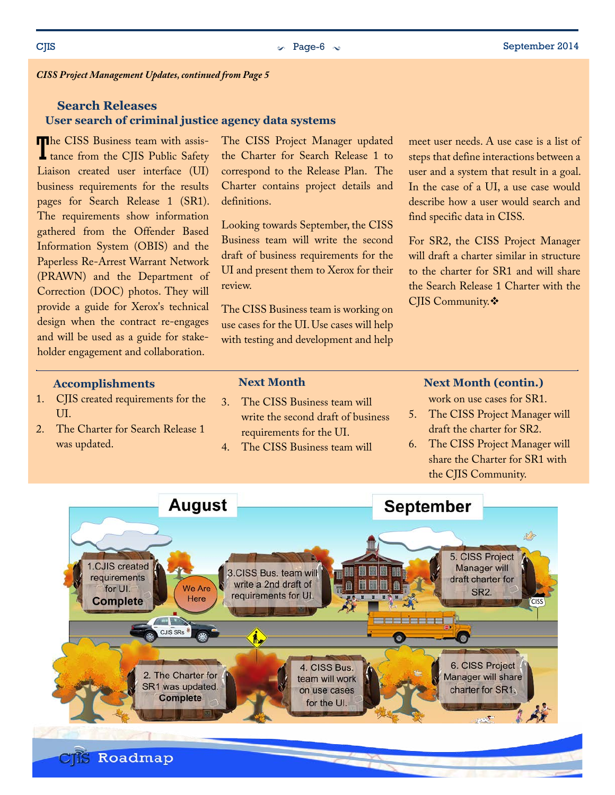*CISS Project Management Updates, continued from Page 5*

#### **User search of criminal justice agency data systems Search Releases**

The CISS Business team with assis-<br>tance from the CJIS Public Safety The CISS Business team with assis-Liaison created user interface (UI) business requirements for the results pages for Search Release 1 (SR1). The requirements show information gathered from the Offender Based Information System (OBIS) and the Paperless Re-Arrest Warrant Network (PRAWN) and the Department of Correction (DOC) photos. They will provide a guide for Xerox's technical design when the contract re-engages and will be used as a guide for stakeholder engagement and collaboration.

The CISS Project Manager updated the Charter for Search Release 1 to correspond to the Release Plan. The Charter contains project details and definitions.

Looking towards September, the CISS Business team will write the second draft of business requirements for the UI and present them to Xerox for their review.

The CISS Business team is working on use cases for the UI. Use cases will help with testing and development and help meet user needs. A use case is a list of steps that define interactions between a user and a system that result in a goal. In the case of a UI, a use case would describe how a user would search and find specific data in CISS.

For SR2, the CISS Project Manager will draft a charter similar in structure to the charter for SR1 and will share the Search Release 1 Charter with the CJIS Community. ❖

#### **Accomplishments**

- 1. CJIS created requirements for the UI.
- 2. The Charter for Search Release 1 was updated.

#### **Next Month**

- 3. The CISS Business team will write the second draft of business requirements for the UI.
- 4. The CISS Business team will

#### **Next Month (contin.)**

work on use cases for SR1.

- 5. The CISS Project Manager will draft the charter for SR2.
- 6. The CISS Project Manager will share the Charter for SR1 with the CJIS Community.